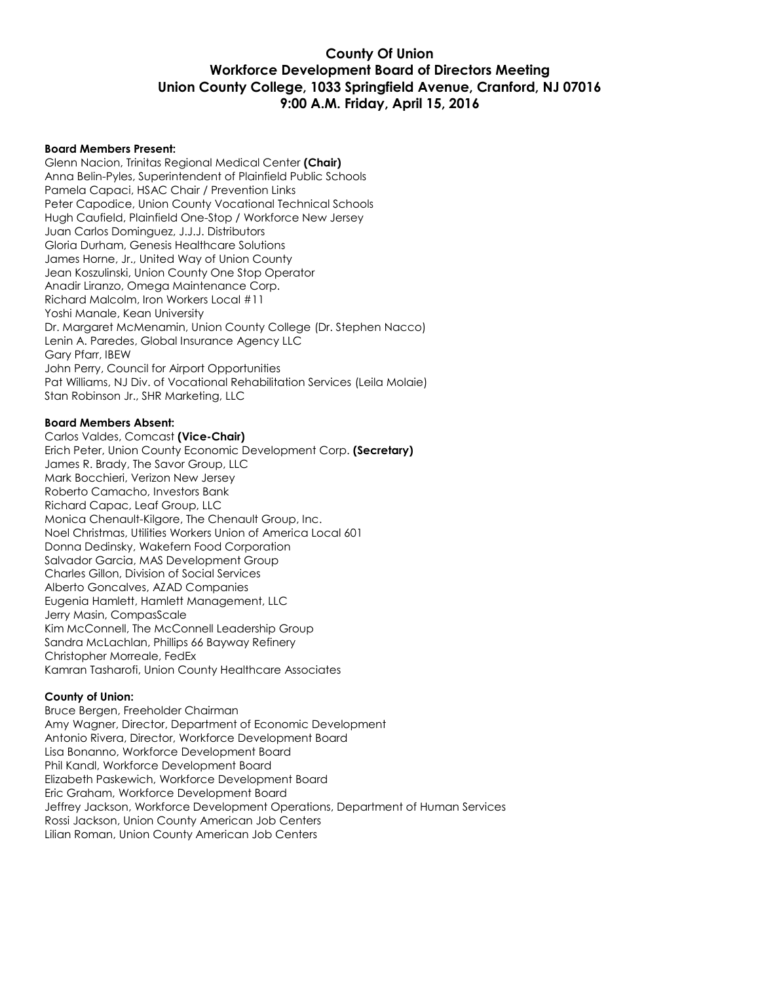## **County Of Union Workforce Development Board of Directors Meeting Union County College, 1033 Springfield Avenue, Cranford, NJ 07016 9:00 A.M. Friday, April 15, 2016**

#### **Board Members Present:**

Glenn Nacion, Trinitas Regional Medical Center **(Chair)** Anna Belin-Pyles, Superintendent of Plainfield Public Schools Pamela Capaci, HSAC Chair / Prevention Links Peter Capodice, Union County Vocational Technical Schools Hugh Caufield, Plainfield One-Stop / Workforce New Jersey Juan Carlos Dominguez, J.J.J. Distributors Gloria Durham, Genesis Healthcare Solutions James Horne, Jr., United Way of Union County Jean Koszulinski, Union County One Stop Operator Anadir Liranzo, Omega Maintenance Corp. Richard Malcolm, Iron Workers Local #11 Yoshi Manale, Kean University Dr. Margaret McMenamin, Union County College (Dr. Stephen Nacco) Lenin A. Paredes, Global Insurance Agency LLC Gary Pfarr, IBEW John Perry, Council for Airport Opportunities Pat Williams, NJ Div. of Vocational Rehabilitation Services (Leila Molaie) Stan Robinson Jr., SHR Marketing, LLC

#### **Board Members Absent:**

Carlos Valdes, Comcast **(Vice-Chair)** Erich Peter, Union County Economic Development Corp. **(Secretary)** James R. Brady, The Savor Group, LLC Mark Bocchieri, Verizon New Jersey Roberto Camacho, Investors Bank Richard Capac, Leaf Group, LLC Monica Chenault-Kilgore, The Chenault Group, Inc. Noel Christmas, Utilities Workers Union of America Local 601 Donna Dedinsky, Wakefern Food Corporation Salvador Garcia, MAS Development Group Charles Gillon, Division of Social Services Alberto Goncalves, AZAD Companies Eugenia Hamlett, Hamlett Management, LLC Jerry Masin, CompasScale Kim McConnell, The McConnell Leadership Group Sandra McLachlan, Phillips 66 Bayway Refinery Christopher Morreale, FedEx Kamran Tasharofi, Union County Healthcare Associates

#### **County of Union:**

Bruce Bergen, Freeholder Chairman Amy Wagner, Director, Department of Economic Development Antonio Rivera, Director, Workforce Development Board Lisa Bonanno, Workforce Development Board Phil Kandl, Workforce Development Board Elizabeth Paskewich, Workforce Development Board Eric Graham, Workforce Development Board Jeffrey Jackson, Workforce Development Operations, Department of Human Services Rossi Jackson, Union County American Job Centers Lilian Roman, Union County American Job Centers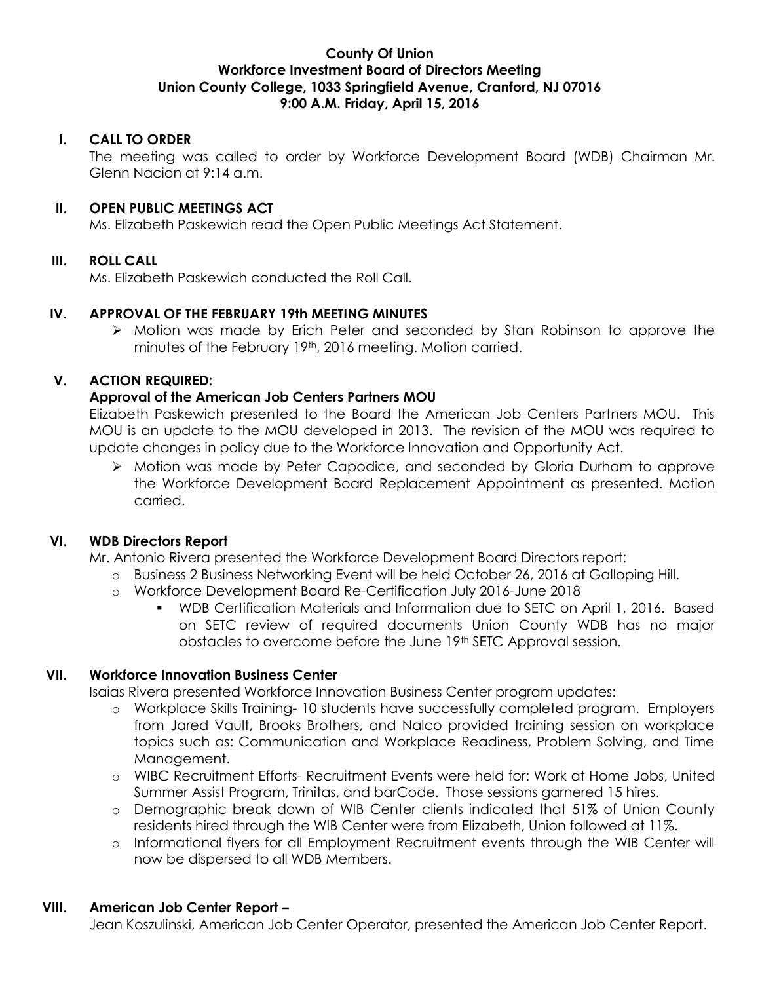## **County Of Union Workforce Investment Board of Directors Meeting Union County College, 1033 Springfield Avenue, Cranford, NJ 07016 9:00 A.M. Friday, April 15, 2016**

## **I. CALL TO ORDER**

The meeting was called to order by Workforce Development Board (WDB) Chairman Mr. Glenn Nacion at 9:14 a.m.

## **II. OPEN PUBLIC MEETINGS ACT**

Ms. Elizabeth Paskewich read the Open Public Meetings Act Statement.

## **III. ROLL CALL**

Ms. Elizabeth Paskewich conducted the Roll Call.

#### **IV. APPROVAL OF THE FEBRUARY 19th MEETING MINUTES**

 $\triangleright$  Motion was made by Erich Peter and seconded by Stan Robinson to approve the minutes of the February 19<sup>th</sup>, 2016 meeting. Motion carried.

## **V. ACTION REQUIRED:**

## **Approval of the American Job Centers Partners MOU**

Elizabeth Paskewich presented to the Board the American Job Centers Partners MOU. This MOU is an update to the MOU developed in 2013. The revision of the MOU was required to update changes in policy due to the Workforce Innovation and Opportunity Act.

 Motion was made by Peter Capodice, and seconded by Gloria Durham to approve the Workforce Development Board Replacement Appointment as presented. Motion carried.

#### **VI. WDB Directors Report**

Mr. Antonio Rivera presented the Workforce Development Board Directors report:

- o Business 2 Business Networking Event will be held October 26, 2016 at Galloping Hill.
- o Workforce Development Board Re-Certification July 2016-June 2018
	- WDB Certification Materials and Information due to SETC on April 1, 2016. Based on SETC review of required documents Union County WDB has no major obstacles to overcome before the June 19<sup>th</sup> SETC Approval session.

#### **VII. Workforce Innovation Business Center**

Isaias Rivera presented Workforce Innovation Business Center program updates:

- o Workplace Skills Training- 10 students have successfully completed program. Employers from Jared Vault, Brooks Brothers, and Nalco provided training session on workplace topics such as: Communication and Workplace Readiness, Problem Solving, and Time Management.
- o WIBC Recruitment Efforts- Recruitment Events were held for: Work at Home Jobs, United Summer Assist Program, Trinitas, and barCode. Those sessions garnered 15 hires.
- o Demographic break down of WIB Center clients indicated that 51% of Union County residents hired through the WIB Center were from Elizabeth, Union followed at 11%.
- o Informational flyers for all Employment Recruitment events through the WIB Center will now be dispersed to all WDB Members.

#### **VIII. American Job Center Report –**

Jean Koszulinski, American Job Center Operator, presented the American Job Center Report.